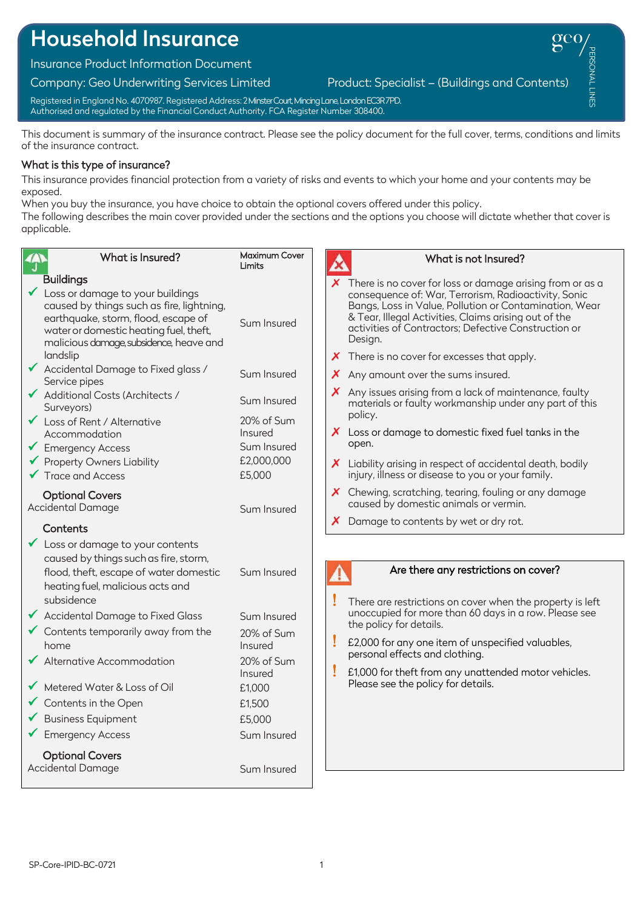# Household Insurance

Insurance Product Information Document

Company: Geo Underwriting Services Limited Product: Specialist – (Buildings and Contents)

PERSONAL LINES PERSONAL LINES

Registered in England No. 4070987. Registered Address: 2Minster Court, Mincing Lane, London EC3R 7PD. Authorised and regulated by the Financial Conduct Authority. FCA Register Number 308400.

This document is summary of the insurance contract. Please see the policy document for the full cover, terms, conditions and limits of the insurance contract.

## What is this type of insurance?

This insurance provides financial protection from a variety of risks and events to which your home and your contents may be exposed.

When you buy the insurance, you have choice to obtain the optional covers offered under this policy.

The following describes the main cover provided under the sections and the options you choose will dictate whether that cover is applicable.

| 今                                                                                                              | What is Insured?                                                                                                                                                                                          | Maximum Cover<br>Limits                                                                          |  | What is not Insured?                                                                                                                                                                                                                                                                                                                                                       |
|----------------------------------------------------------------------------------------------------------------|-----------------------------------------------------------------------------------------------------------------------------------------------------------------------------------------------------------|--------------------------------------------------------------------------------------------------|--|----------------------------------------------------------------------------------------------------------------------------------------------------------------------------------------------------------------------------------------------------------------------------------------------------------------------------------------------------------------------------|
| <b>Buildings</b><br>landslip                                                                                   | Loss or damage to your buildings<br>caused by things such as fire, lightning,<br>earthquake, storm, flood, escape of<br>water or domestic heating fuel, theft,<br>malicious damage, subsidence, heave and | Sum Insured                                                                                      |  | $\chi$ There is no cover for loss or damage arising from or as a<br>consequence of: War, Terrorism, Radioactivity, Sonic<br>Bangs, Loss in Value, Pollution or Contamination, Wear<br>& Tear, Illegal Activities, Claims arising out of the<br>activities of Contractors; Defective Construction or<br>Design.<br>$\chi$ There is no cover for excesses that apply.        |
| Service pipes<br>◆ Additional Costs (Architects /<br>Surveyors)<br>Loss of Rent / Alternative<br>Accommodation | ◆ Accidental Damage to Fixed glass /                                                                                                                                                                      | Sum Insured<br>Sum Insured<br>20% of Sum<br>Insured                                              |  | $\boldsymbol{X}$ Any amount over the sums insured.<br>X Any issues arising from a lack of maintenance, faulty<br>materials or faulty workmanship under any part of this<br>policy.<br>X Loss or damage to domestic fixed fuel tanks in the                                                                                                                                 |
| Emergency Access<br>✔ Property Owners Liability<br>$\checkmark$ Trace and Access                               |                                                                                                                                                                                                           | Sum Insured<br>£2,000,000<br>£5,000                                                              |  | open.<br>X Liability arising in respect of accidental death, bodily<br>injury, illness or disease to you or your family.<br>X Chewing, scratching, tearing, fouling or any damage                                                                                                                                                                                          |
| <b>Optional Covers</b><br>Accidental Damage<br>Contents                                                        | Loss or damage to your contents                                                                                                                                                                           | Sum Insured                                                                                      |  | caused by domestic animals or vermin.<br>$\boldsymbol{X}$ Damage to contents by wet or dry rot.                                                                                                                                                                                                                                                                            |
| subsidence<br>home<br>◆ Alternative Accommodation<br>Metered Water & Loss of Oil<br>Contents in the Open       | caused by things such as fire, storm,<br>flood, theft, escape of water domestic<br>heating fuel, malicious acts and<br>◆ Accidental Damage to Fixed Glass<br>Contents temporarily away from the           | Sum Insured<br>Sum Insured<br>20% of Sum<br>Insured<br>20% of Sum<br>Insured<br>£1,000<br>£1,500 |  | Are there any restrictions on cover?<br>There are restrictions on cover when the property is left<br>unoccupied for more than 60 days in a row. Please see<br>the policy for details.<br>£2,000 for any one item of unspecified valuables,<br>personal effects and clothing.<br>£1,000 for theft from any unattended motor vehicles.<br>Please see the policy for details. |
| <b>Business Equipment</b><br>Emergency Access<br><b>Optional Covers</b><br>Accidental Damage                   |                                                                                                                                                                                                           | £5,000<br>Sum Insured<br>Sum Insured                                                             |  |                                                                                                                                                                                                                                                                                                                                                                            |